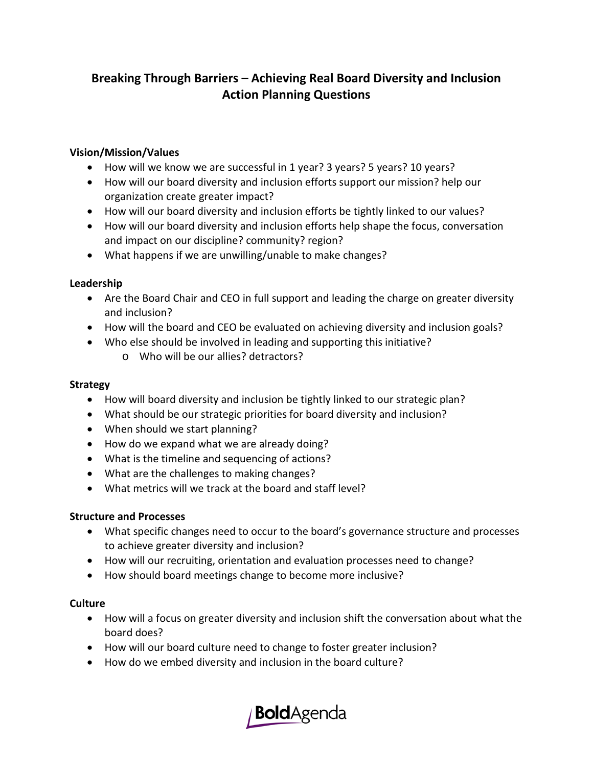# **Breaking Through Barriers – Achieving Real Board Diversity and Inclusion Action Planning Questions**

#### **Vision/Mission/Values**

- How will we know we are successful in 1 year? 3 years? 5 years? 10 years?
- How will our board diversity and inclusion efforts support our mission? help our organization create greater impact?
- How will our board diversity and inclusion efforts be tightly linked to our values?
- How will our board diversity and inclusion efforts help shape the focus, conversation and impact on our discipline? community? region?
- What happens if we are unwilling/unable to make changes?

## **Leadership**

- Are the Board Chair and CEO in full support and leading the charge on greater diversity and inclusion?
- How will the board and CEO be evaluated on achieving diversity and inclusion goals?
- Who else should be involved in leading and supporting this initiative?
	- o Who will be our allies? detractors?

#### **Strategy**

- How will board diversity and inclusion be tightly linked to our strategic plan?
- What should be our strategic priorities for board diversity and inclusion?
- When should we start planning?
- How do we expand what we are already doing?
- What is the timeline and sequencing of actions?
- What are the challenges to making changes?
- What metrics will we track at the board and staff level?

## **Structure and Processes**

- What specific changes need to occur to the board's governance structure and processes to achieve greater diversity and inclusion?
- How will our recruiting, orientation and evaluation processes need to change?
- How should board meetings change to become more inclusive?

## **Culture**

- How will a focus on greater diversity and inclusion shift the conversation about what the board does?
- How will our board culture need to change to foster greater inclusion?
- How do we embed diversity and inclusion in the board culture?